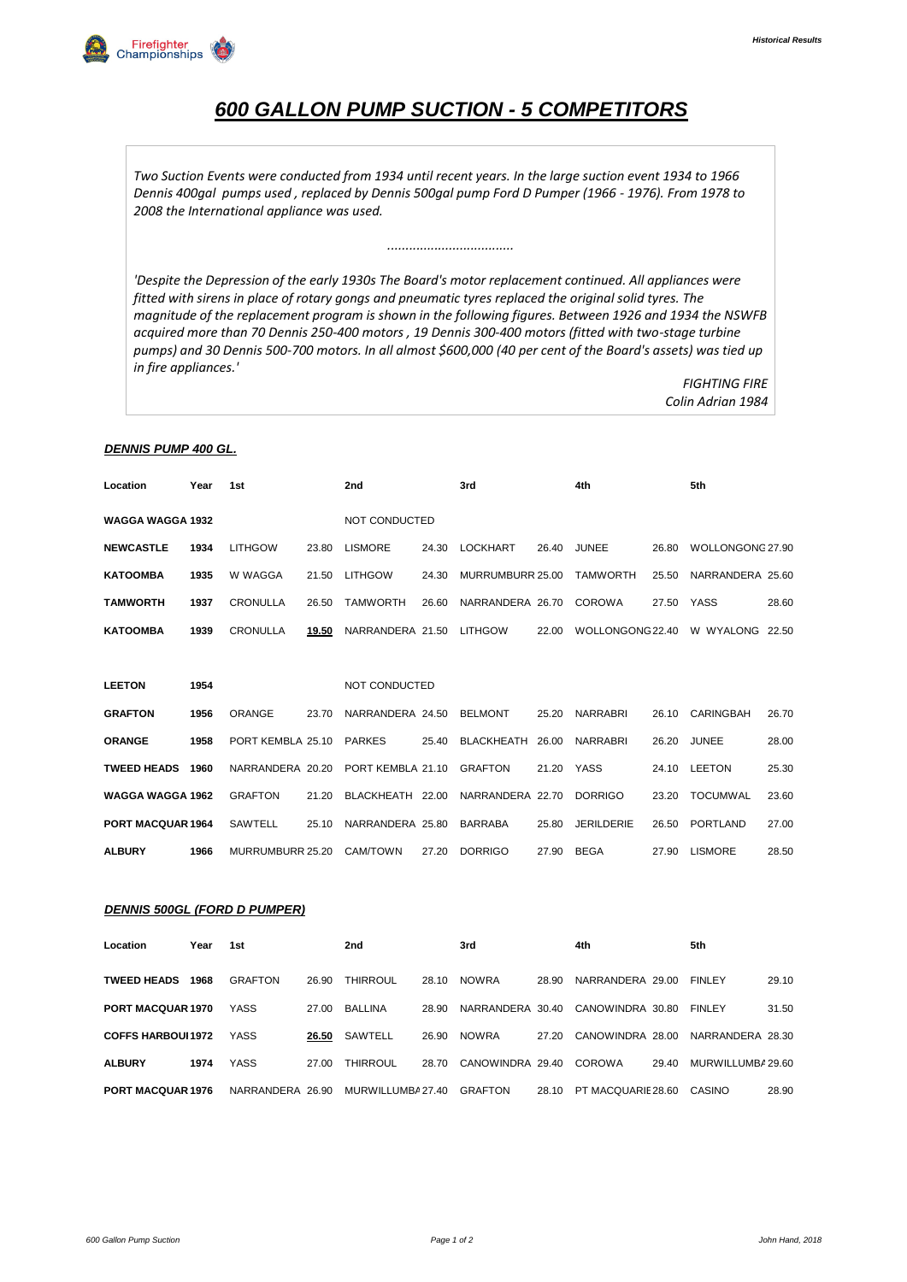# *600 GALLON PUMP SUCTION - 5 COMPETITORS*

*Two Suction Events were conducted from 1934 until recent years. In the large suction event 1934 to 1966 Dennis 400gal pumps used , replaced by Dennis 500gal pump Ford D Pumper (1966 - 1976). From 1978 to 2008 the International appliance was used.*

*'Despite the Depression of the early 1930s The Board's motor replacement continued. All appliances were fitted with sirens in place of rotary gongs and pneumatic tyres replaced the original solid tyres. The magnitude of the replacement program is shown in the following figures. Between 1926 and 1934 the NSWFB acquired more than 70 Dennis 250-400 motors , 19 Dennis 300-400 motors (fitted with two-stage turbine pumps) and 30 Dennis 500-700 motors. In all almost \$600,000 (40 per cent of the Board's assets) was tied up in fire appliances.'*

*...................................*

*FIGHTING FIRE Colin Adrian 1984*

### *DENNIS PUMP 400 GL.*

| Location                 | Year | 1st               |       | 2nd                      |       | 3rd              |       | 4th               |            | 5th              |       |
|--------------------------|------|-------------------|-------|--------------------------|-------|------------------|-------|-------------------|------------|------------------|-------|
| <b>WAGGA WAGGA 1932</b>  |      |                   |       | NOT CONDUCTED            |       |                  |       |                   |            |                  |       |
| <b>NEWCASTLE</b>         | 1934 | <b>LITHGOW</b>    | 23.80 | <b>LISMORE</b>           | 24.30 | <b>LOCKHART</b>  | 26.40 | <b>JUNEE</b>      | 26.80      | WOLLONGONG 27.90 |       |
| <b>KATOOMBA</b>          | 1935 | W WAGGA           | 21.50 | <b>LITHGOW</b>           | 24.30 | MURRUMBURR 25.00 |       | <b>TAMWORTH</b>   | 25.50      | NARRANDERA 25.60 |       |
| <b>TAMWORTH</b>          | 1937 | <b>CRONULLA</b>   | 26.50 | <b>TAMWORTH</b>          | 26.60 | NARRANDERA 26.70 |       | <b>COROWA</b>     | 27.50 YASS |                  | 28.60 |
| <b>KATOOMBA</b>          | 1939 | <b>CRONULLA</b>   | 19.50 | NARRANDERA 21.50 LITHGOW |       |                  | 22.00 | WOLLONGONG 22.40  |            | W WYALONG 22.50  |       |
|                          |      |                   |       |                          |       |                  |       |                   |            |                  |       |
| <b>LEETON</b>            | 1954 |                   |       | NOT CONDUCTED            |       |                  |       |                   |            |                  |       |
| <b>GRAFTON</b>           | 1956 | <b>ORANGE</b>     | 23.70 | NARRANDERA 24.50 BELMONT |       |                  | 25.20 | <b>NARRABRI</b>   | 26.10      | <b>CARINGBAH</b> | 26.70 |
| <b>ORANGE</b>            | 1958 | PORT KEMBLA 25.10 |       | <b>PARKES</b>            | 25.40 | BLACKHEATH       | 26.00 | <b>NARRABRI</b>   | 26.20      | <b>JUNEE</b>     | 28.00 |
| <b>TWEED HEADS</b>       | 1960 | NARRANDERA 20.20  |       | PORT KEMBLA 21.10        |       | GRAFTON          | 21.20 | YASS              |            | 24.10 LEETON     | 25.30 |
| WAGGA WAGGA 1962         |      | <b>GRAFTON</b>    | 21.20 | BLACKHEATH 22.00         |       | NARRANDERA 22.70 |       | <b>DORRIGO</b>    | 23.20      | TOCUMWAL         | 23.60 |
| <b>PORT MACQUAR 1964</b> |      | <b>SAWTELL</b>    | 25.10 | NARRANDERA 25.80         |       | <b>BARRABA</b>   | 25.80 | <b>JERILDERIE</b> | 26.50      | PORTLAND         | 27.00 |
| <b>ALBURY</b>            | 1966 | MURRUMBURR 25.20  |       | CAM/TOWN                 | 27.20 | <b>DORRIGO</b>   | 27.90 | <b>BEGA</b>       |            | 27.90 LISMORE    | 28.50 |
|                          |      |                   |       |                          |       |                  |       |                   |            |                  |       |

### *DENNIS 500GL (FORD D PUMPER)*

| Location                  | Year | 1st              |       | 2nd               |       | 3rd                               |       | 4th                |       | 5th               |       |
|---------------------------|------|------------------|-------|-------------------|-------|-----------------------------------|-------|--------------------|-------|-------------------|-------|
| <b>TWEED HEADS</b>        | 1968 | GRAFTON          | 26.90 | <b>THIRROUL</b>   | 28.10 | <b>NOWRA</b>                      | 28.90 | NARRANDERA 29.00   |       | <b>FINLEY</b>     | 29.10 |
| <b>PORT MACQUAR 1970</b>  |      | YASS             | 27.00 | BALLINA           | 28.90 | NARRANDERA 30.40 CANOWINDRA 30.80 |       |                    |       | <b>FINLEY</b>     | 31.50 |
| <b>COFFS HARBOUL 1972</b> |      | YASS             | 26.50 | SAWTELL           | 26.90 | <b>NOWRA</b>                      | 27.20 | CANOWINDRA 28.00   |       | NARRANDERA 28.30  |       |
| <b>ALBURY</b>             | 1974 | <b>YASS</b>      | 27.00 | <b>THIRROUL</b>   | 28.70 | CANOWINDRA 29.40                  |       | COROWA             | 29.40 | MURWILLUMBA 29.60 |       |
| <b>PORT MACQUAR 1976</b>  |      | NARRANDERA 26.90 |       | MURWILLUMBA 27.40 |       | GRAFTON                           | 28.10 | PT MACQUARIE 28.60 |       | CASINO            | 28.90 |